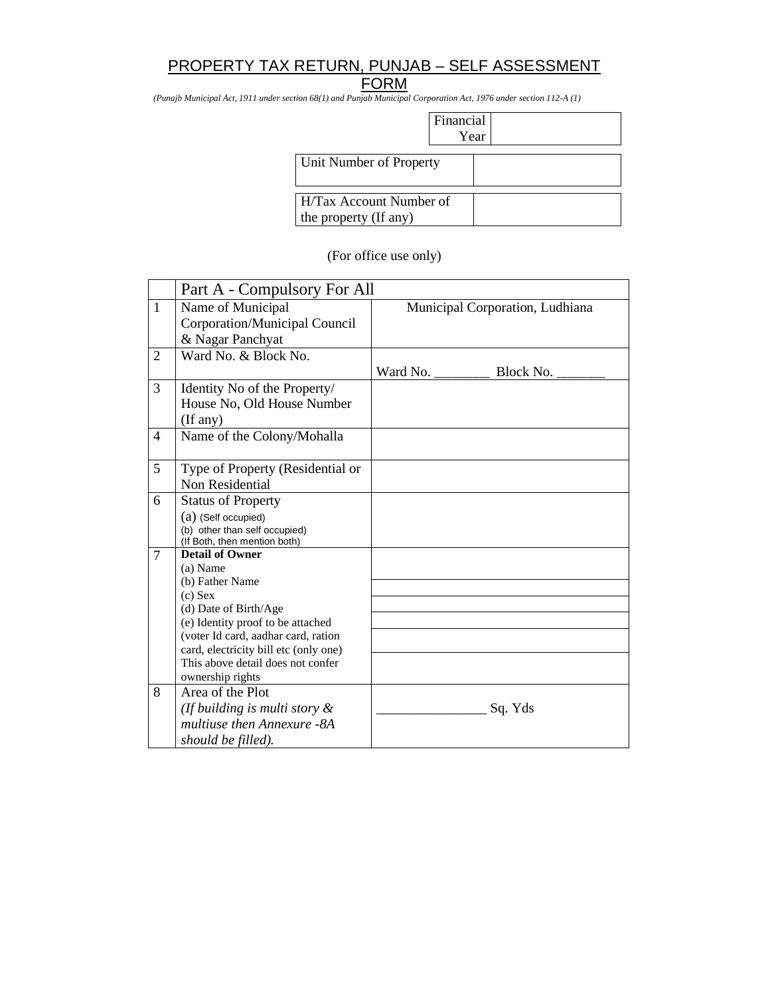# PROPERTY TAX RETURN, PUNJAB – SELF ASSESSMENT

## **FORM**

*(Punajb Municipal Act, 1911 under section 68(1) and Punjab Municipal Corporation Act, 1976 under section 112-A (1)*

| <b>Financial</b> |  |
|------------------|--|
| ear              |  |

| . |
|---|
|   |
|   |
|   |
|   |
|   |
|   |
|   |
|   |
|   |

#### (For office use only)

|                | Part A - Compulsory For All                                                                                                                                                                                                                                               |                                 |           |  |
|----------------|---------------------------------------------------------------------------------------------------------------------------------------------------------------------------------------------------------------------------------------------------------------------------|---------------------------------|-----------|--|
| $\mathbf{1}$   | Name of Municipal<br>Corporation/Municipal Council<br>& Nagar Panchyat                                                                                                                                                                                                    | Municipal Corporation, Ludhiana |           |  |
| $\overline{2}$ | Ward No. & Block No.                                                                                                                                                                                                                                                      | Ward No.                        | Block No. |  |
| 3              | Identity No of the Property/<br>House No, Old House Number<br>(If any)                                                                                                                                                                                                    |                                 |           |  |
| 4              | Name of the Colony/Mohalla                                                                                                                                                                                                                                                |                                 |           |  |
| 5              | Type of Property (Residential or<br>Non Residential                                                                                                                                                                                                                       |                                 |           |  |
| 6              | <b>Status of Property</b><br>$(a)$ (Self occupied)<br>(b) other than self occupied)<br>(If Both, then mention both)                                                                                                                                                       |                                 |           |  |
| $\overline{7}$ | <b>Detail of Owner</b><br>(a) Name<br>(b) Father Name<br>$(c)$ Sex<br>(d) Date of Birth/Age<br>(e) Identity proof to be attached<br>(voter Id card, aadhar card, ration<br>card, electricity bill etc (only one)<br>This above detail does not confer<br>ownership rights |                                 |           |  |
| 8              | Area of the Plot<br>(If building is multi story $\&$<br>multiuse then Annexure -8A<br>should be filled).                                                                                                                                                                  |                                 | Sq. Yds   |  |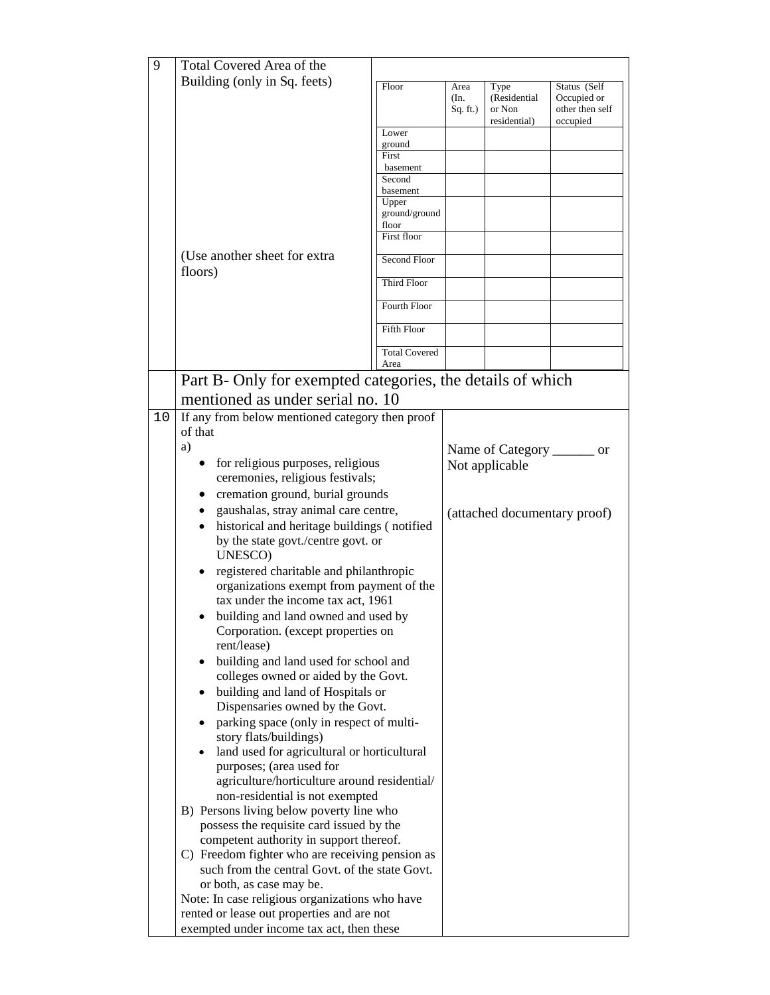| 9  | Total Covered Area of the                                                   |                              |                          |                                                |                                                            |
|----|-----------------------------------------------------------------------------|------------------------------|--------------------------|------------------------------------------------|------------------------------------------------------------|
|    | Building (only in Sq. feets)                                                |                              |                          |                                                |                                                            |
|    |                                                                             | Floor                        | Area<br>(In.<br>Sq. ft.) | Type<br>(Residential<br>or Non<br>residential) | Status (Self<br>Occupied or<br>other then self<br>occupied |
|    |                                                                             | Lower                        |                          |                                                |                                                            |
|    |                                                                             | ground                       |                          |                                                |                                                            |
|    |                                                                             | First<br>basement            |                          |                                                |                                                            |
|    |                                                                             | Second                       |                          |                                                |                                                            |
|    |                                                                             | basement                     |                          |                                                |                                                            |
|    |                                                                             | Upper<br>ground/ground       |                          |                                                |                                                            |
|    |                                                                             | floor                        |                          |                                                |                                                            |
|    | (Use another sheet for extra                                                | First floor<br>Second Floor  |                          |                                                |                                                            |
|    | floors)                                                                     | Third Floor                  |                          |                                                |                                                            |
|    |                                                                             | Fourth Floor                 |                          |                                                |                                                            |
|    |                                                                             | Fifth Floor                  |                          |                                                |                                                            |
|    |                                                                             | <b>Total Covered</b><br>Area |                          |                                                |                                                            |
|    | Part B- Only for exempted categories, the details of which                  |                              |                          |                                                |                                                            |
|    | mentioned as under serial no. 10                                            |                              |                          |                                                |                                                            |
| 10 | If any from below mentioned category then proof                             |                              |                          |                                                |                                                            |
|    | of that                                                                     |                              |                          |                                                |                                                            |
|    | a)                                                                          |                              |                          | Name of Category                               | <sub>or</sub>                                              |
|    | for religious purposes, religious<br>$\bullet$                              |                              |                          | Not applicable                                 |                                                            |
|    | ceremonies, religious festivals;                                            |                              |                          |                                                |                                                            |
|    | cremation ground, burial grounds<br>$\bullet$                               |                              |                          |                                                |                                                            |
|    | gaushalas, stray animal care centre,<br>$\bullet$                           |                              |                          |                                                | (attached documentary proof)                               |
|    | historical and heritage buildings (notified                                 |                              |                          |                                                |                                                            |
|    | by the state govt./centre govt. or<br>UNESCO)                               |                              |                          |                                                |                                                            |
|    | registered charitable and philanthropic                                     |                              |                          |                                                |                                                            |
|    | organizations exempt from payment of the                                    |                              |                          |                                                |                                                            |
|    | tax under the income tax act, 1961                                          |                              |                          |                                                |                                                            |
|    | building and land owned and used by                                         |                              |                          |                                                |                                                            |
|    | Corporation. (except properties on                                          |                              |                          |                                                |                                                            |
|    | rent/lease)                                                                 |                              |                          |                                                |                                                            |
|    | building and land used for school and                                       |                              |                          |                                                |                                                            |
|    | colleges owned or aided by the Govt.                                        |                              |                          |                                                |                                                            |
|    | building and land of Hospitals or                                           |                              |                          |                                                |                                                            |
|    | Dispensaries owned by the Govt.<br>parking space (only in respect of multi- |                              |                          |                                                |                                                            |
|    | story flats/buildings)                                                      |                              |                          |                                                |                                                            |
|    | land used for agricultural or horticultural                                 |                              |                          |                                                |                                                            |
|    | purposes; (area used for                                                    |                              |                          |                                                |                                                            |
|    | agriculture/horticulture around residential/                                |                              |                          |                                                |                                                            |
|    | non-residential is not exempted                                             |                              |                          |                                                |                                                            |
|    | B) Persons living below poverty line who                                    |                              |                          |                                                |                                                            |
|    | possess the requisite card issued by the                                    |                              |                          |                                                |                                                            |
|    | competent authority in support thereof.                                     |                              |                          |                                                |                                                            |
|    | C) Freedom fighter who are receiving pension as                             |                              |                          |                                                |                                                            |
|    | such from the central Govt. of the state Govt.                              |                              |                          |                                                |                                                            |
|    | or both, as case may be.<br>Note: In case religious organizations who have  |                              |                          |                                                |                                                            |
|    | rented or lease out properties and are not                                  |                              |                          |                                                |                                                            |
|    | exempted under income tax act, then these                                   |                              |                          |                                                |                                                            |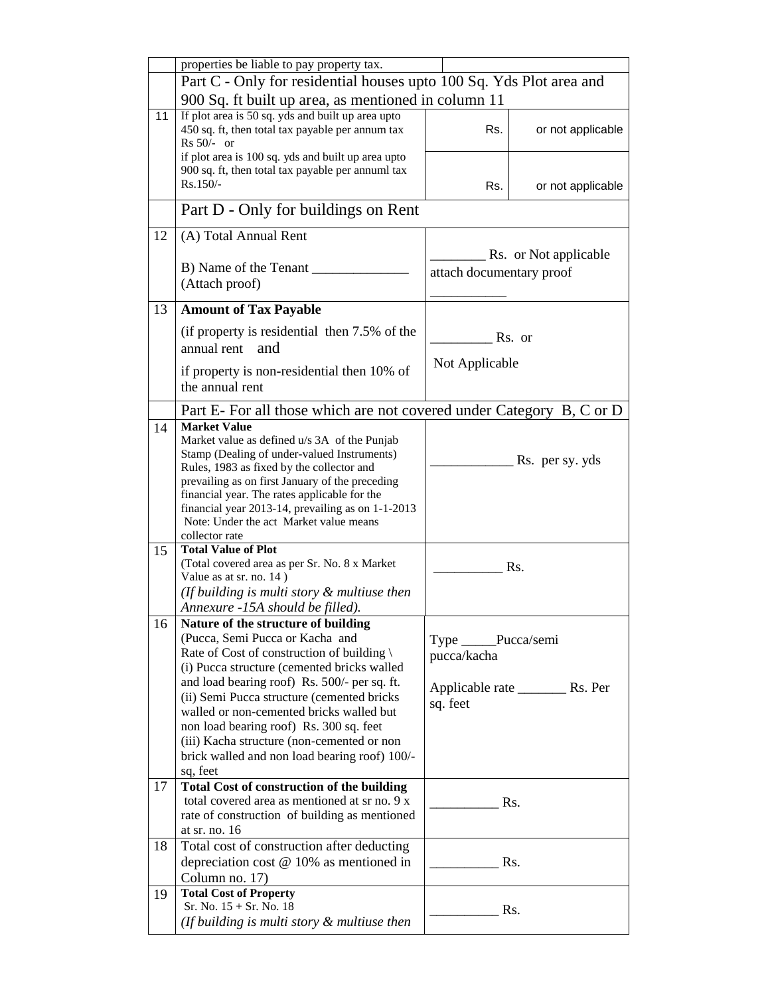|    | properties be liable to pay property tax.                                                    |                          |                       |  |  |
|----|----------------------------------------------------------------------------------------------|--------------------------|-----------------------|--|--|
|    | Part C - Only for residential houses upto 100 Sq. Yds Plot area and                          |                          |                       |  |  |
|    |                                                                                              |                          |                       |  |  |
|    | 900 Sq. ft built up area, as mentioned in column 11                                          |                          |                       |  |  |
| 11 | If plot area is 50 sq. yds and built up area upto                                            |                          |                       |  |  |
|    | 450 sq. ft, then total tax payable per annum tax                                             | Rs.                      | or not applicable     |  |  |
|    | $Rs 50/- or$                                                                                 |                          |                       |  |  |
|    | if plot area is 100 sq. yds and built up area upto                                           |                          |                       |  |  |
|    | 900 sq. ft, then total tax payable per annuml tax<br>$Rs.150/-$                              |                          |                       |  |  |
|    |                                                                                              | Rs.                      | or not applicable     |  |  |
|    | Part D - Only for buildings on Rent                                                          |                          |                       |  |  |
|    |                                                                                              |                          |                       |  |  |
| 12 | (A) Total Annual Rent                                                                        |                          |                       |  |  |
|    |                                                                                              |                          | Rs. or Not applicable |  |  |
|    | B) Name of the Tenant                                                                        | attach documentary proof |                       |  |  |
|    | (Attach proof)                                                                               |                          |                       |  |  |
|    |                                                                                              |                          |                       |  |  |
| 13 | <b>Amount of Tax Payable</b>                                                                 |                          |                       |  |  |
|    | (if property is residential then 7.5% of the                                                 |                          | Rs. or                |  |  |
|    | annual rent<br>and                                                                           |                          |                       |  |  |
|    |                                                                                              | Not Applicable           |                       |  |  |
|    | if property is non-residential then 10% of                                                   |                          |                       |  |  |
|    | the annual rent                                                                              |                          |                       |  |  |
|    |                                                                                              |                          |                       |  |  |
|    | Part E- For all those which are not covered under Category B, C or D                         |                          |                       |  |  |
| 14 | <b>Market Value</b>                                                                          |                          |                       |  |  |
|    | Market value as defined u/s 3A of the Punjab                                                 |                          |                       |  |  |
|    | Stamp (Dealing of under-valued Instruments)                                                  |                          | Rs. per sy. yds       |  |  |
|    | Rules, 1983 as fixed by the collector and<br>prevailing as on first January of the preceding |                          |                       |  |  |
|    | financial year. The rates applicable for the                                                 |                          |                       |  |  |
|    | financial year 2013-14, prevailing as on 1-1-2013                                            |                          |                       |  |  |
|    | Note: Under the act Market value means                                                       |                          |                       |  |  |
|    | collector rate                                                                               |                          |                       |  |  |
| 15 | <b>Total Value of Plot</b>                                                                   |                          |                       |  |  |
|    | (Total covered area as per Sr. No. 8 x Market)                                               |                          | Rs.                   |  |  |
|    | Value as at sr. no. 14)                                                                      |                          |                       |  |  |
|    | (If building is multi story $&$ multiuse then                                                |                          |                       |  |  |
|    | Annexure -15A should be filled).                                                             |                          |                       |  |  |
| 16 | Nature of the structure of building                                                          |                          |                       |  |  |
|    | (Pucca, Semi Pucca or Kacha and                                                              | Type _____Pucca/semi     |                       |  |  |
|    | Rate of Cost of construction of building \                                                   |                          |                       |  |  |
|    | (i) Pucca structure (cemented bricks walled                                                  | pucca/kacha              |                       |  |  |
|    | and load bearing roof) Rs. 500/- per sq. ft.                                                 |                          |                       |  |  |
|    | (ii) Semi Pucca structure (cemented bricks                                                   |                          |                       |  |  |
|    | walled or non-cemented bricks walled but                                                     | sq. feet                 |                       |  |  |
|    | non load bearing roof) Rs. 300 sq. feet                                                      |                          |                       |  |  |
|    | (iii) Kacha structure (non-cemented or non                                                   |                          |                       |  |  |
|    |                                                                                              |                          |                       |  |  |
|    | brick walled and non load bearing roof) 100/-                                                |                          |                       |  |  |
|    | sq, feet                                                                                     |                          |                       |  |  |
| 17 | <b>Total Cost of construction of the building</b>                                            |                          |                       |  |  |
|    | total covered area as mentioned at sr no. 9 x                                                |                          | Rs.                   |  |  |
|    | rate of construction of building as mentioned<br>at sr. no. 16                               |                          |                       |  |  |
| 18 |                                                                                              |                          |                       |  |  |
|    | Total cost of construction after deducting                                                   |                          |                       |  |  |
|    | depreciation cost $@$ 10% as mentioned in                                                    |                          | Rs.                   |  |  |
|    | Column no. 17)                                                                               |                          |                       |  |  |
| 19 | <b>Total Cost of Property</b>                                                                |                          |                       |  |  |
|    | Sr. No. $15 + Sr$ . No. 18                                                                   |                          | Rs.                   |  |  |
|    | (If building is multi story $\&$ multiuse then                                               |                          |                       |  |  |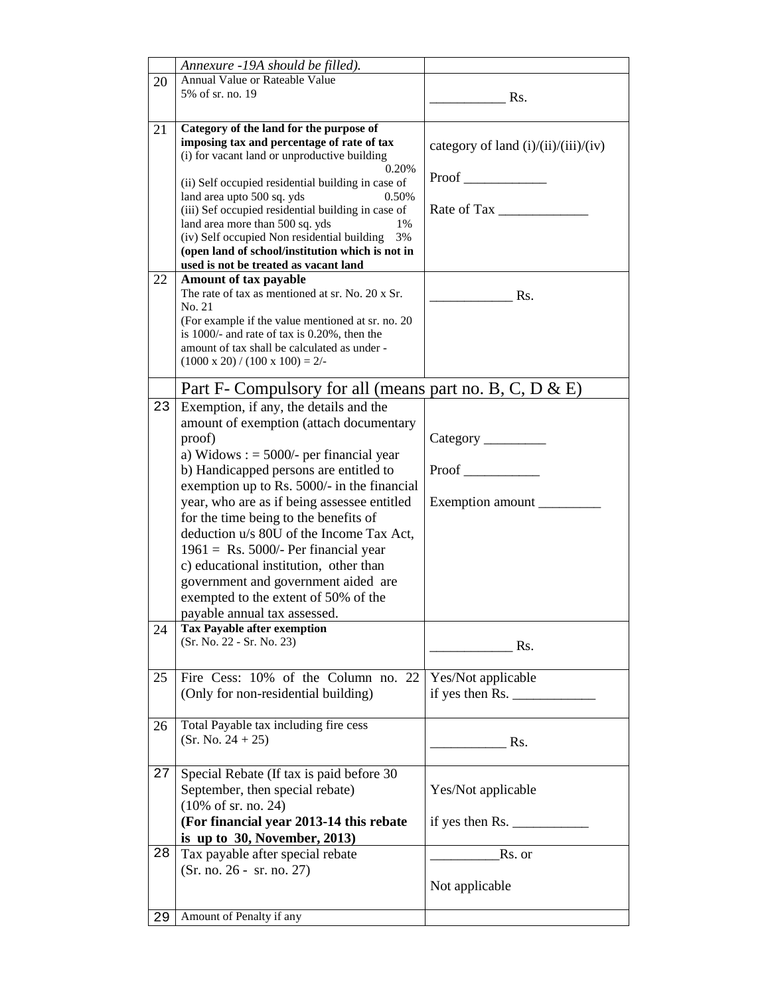|    | Annexure -19A should be filled).                                                                 |                                                                                    |
|----|--------------------------------------------------------------------------------------------------|------------------------------------------------------------------------------------|
| 20 | Annual Value or Rateable Value                                                                   |                                                                                    |
|    | 5% of sr. no. 19                                                                                 | Rs.                                                                                |
|    |                                                                                                  |                                                                                    |
| 21 | Category of the land for the purpose of                                                          |                                                                                    |
|    | imposing tax and percentage of rate of tax                                                       | category of land $(i)/(ii)/(iii)/(iv)$                                             |
|    | (i) for vacant land or unproductive building                                                     |                                                                                    |
|    | 0.20%                                                                                            | Proof                                                                              |
|    | (ii) Self occupied residential building in case of<br>0.50%                                      |                                                                                    |
|    | land area upto 500 sq. yds<br>(iii) Sef occupied residential building in case of                 | Rate of Tax                                                                        |
|    | land area more than 500 sq. yds<br>1%                                                            |                                                                                    |
|    | (iv) Self occupied Non residential building 3%                                                   |                                                                                    |
|    | (open land of school/institution which is not in                                                 |                                                                                    |
|    | used is not be treated as vacant land                                                            |                                                                                    |
| 22 | Amount of tax payable                                                                            |                                                                                    |
|    | The rate of tax as mentioned at sr. No. 20 x Sr.                                                 | Rs.                                                                                |
|    | No. 21                                                                                           |                                                                                    |
|    | (For example if the value mentioned at sr. no. 20)                                               |                                                                                    |
|    | is 1000/- and rate of tax is $0.20\%$ , then the<br>amount of tax shall be calculated as under - |                                                                                    |
|    | $(1000 \times 20) / (100 \times 100) = 2/$                                                       |                                                                                    |
|    |                                                                                                  |                                                                                    |
|    | Part F- Compulsory for all (means part no. B, C, D $\&$ E)                                       |                                                                                    |
| 23 | Exemption, if any, the details and the                                                           |                                                                                    |
|    | amount of exemption (attach documentary                                                          |                                                                                    |
|    | proof)                                                                                           |                                                                                    |
|    | a) Widows : $=$ 5000/- per financial year                                                        |                                                                                    |
|    | b) Handicapped persons are entitled to                                                           | Proof                                                                              |
|    | exemption up to Rs. 5000/- in the financial                                                      |                                                                                    |
|    | year, who are as if being assessee entitled                                                      | Exemption amount                                                                   |
|    | for the time being to the benefits of                                                            |                                                                                    |
|    | deduction u/s 80U of the Income Tax Act,                                                         |                                                                                    |
|    | $1961 =$ Rs. 5000/- Per financial year                                                           |                                                                                    |
|    | c) educational institution, other than                                                           |                                                                                    |
|    |                                                                                                  |                                                                                    |
|    | government and government aided are                                                              |                                                                                    |
|    | exempted to the extent of 50% of the                                                             |                                                                                    |
|    | payable annual tax assessed.                                                                     |                                                                                    |
| 24 | <b>Tax Payable after exemption</b><br>(Sr. No. 22 - Sr. No. 23)                                  |                                                                                    |
|    |                                                                                                  | Rs.                                                                                |
|    |                                                                                                  |                                                                                    |
| 25 | Fire Cess: 10% of the Column no. 22                                                              | Yes/Not applicable                                                                 |
|    | (Only for non-residential building)                                                              | if yes then Rs. $\_\_\_\_\_\_\_\_\_\_\_\_\_\_\_\_\_\_\_\_\_\_\_\_\_\_\_\_\_\_\_\_$ |
|    |                                                                                                  |                                                                                    |
| 26 | Total Payable tax including fire cess                                                            |                                                                                    |
|    | $(Sr. No. 24 + 25)$                                                                              | Rs.                                                                                |
|    |                                                                                                  |                                                                                    |
| 27 | Special Rebate (If tax is paid before 30                                                         |                                                                                    |
|    | September, then special rebate)                                                                  | Yes/Not applicable                                                                 |
|    | $(10\% \text{ of sr. no. } 24)$                                                                  |                                                                                    |
|    | (For financial year 2013-14 this rebate                                                          | if yes then Rs. $\frac{1}{2}$                                                      |
|    | is up to $30$ , November, 2013)                                                                  |                                                                                    |
| 28 | Tax payable after special rebate                                                                 | Rs. or                                                                             |
|    | $(Sr. no. 26 - sr. no. 27)$                                                                      |                                                                                    |
|    |                                                                                                  | Not applicable                                                                     |
|    |                                                                                                  |                                                                                    |
| 29 | Amount of Penalty if any                                                                         |                                                                                    |
|    |                                                                                                  |                                                                                    |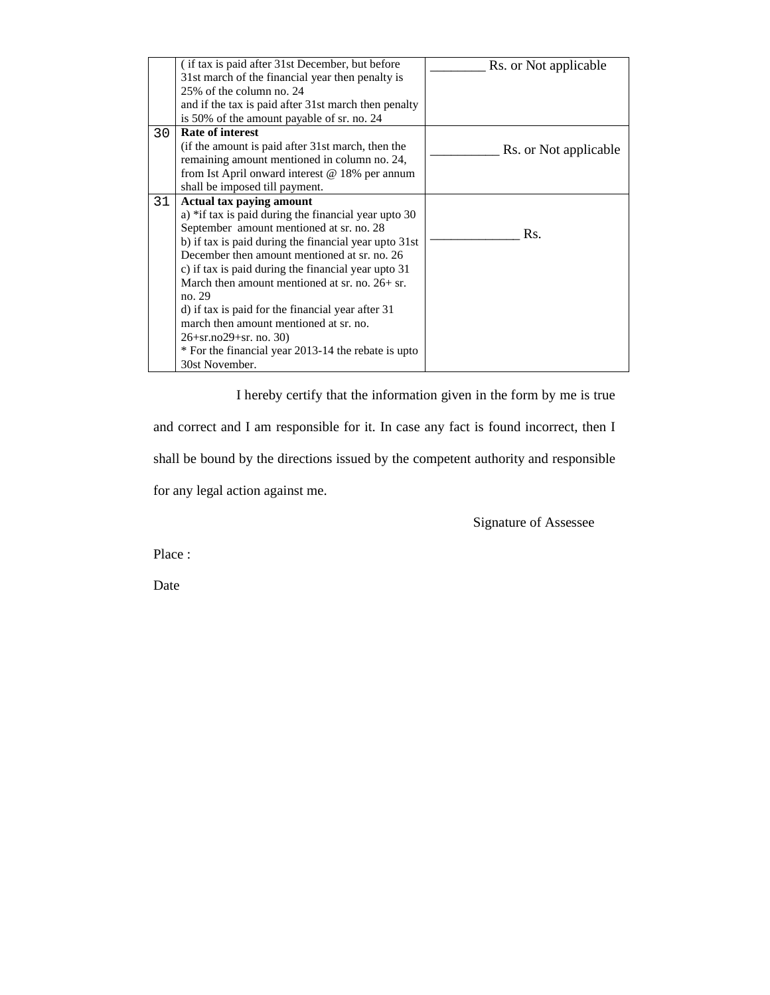|    | (if tax is paid after 31st December, but before       | Rs. or Not applicable |
|----|-------------------------------------------------------|-----------------------|
|    | 31st march of the financial year then penalty is      |                       |
|    | 25% of the column no. 24                              |                       |
|    | and if the tax is paid after 31st march then penalty  |                       |
|    | is 50% of the amount payable of sr. no. 24            |                       |
| 30 | <b>Rate of interest</b>                               |                       |
|    | (if the amount is paid after 31st march, then the     | Rs. or Not applicable |
|    | remaining amount mentioned in column no. 24,          |                       |
|    | from Ist April onward interest $@$ 18% per annum      |                       |
|    | shall be imposed till payment.                        |                       |
| 31 | Actual tax paying amount                              |                       |
|    | a) *if tax is paid during the financial year upto 30  |                       |
|    | September amount mentioned at sr. no. 28              | Rs.                   |
|    | b) if tax is paid during the financial year upto 31st |                       |
|    | December then amount mentioned at sr. no. 26          |                       |
|    | c) if tax is paid during the financial year upto 31   |                       |
|    | March then amount mentioned at sr. no. $26 + sr$ .    |                       |
|    | no. 29                                                |                       |
|    | d) if tax is paid for the financial year after 31     |                       |
|    | march then amount mentioned at sr. no.                |                       |
|    | $26+sr.no29+sr.no.30$                                 |                       |
|    | * For the financial year 2013-14 the rebate is upto   |                       |
|    | 30st November.                                        |                       |

I hereby certify that the information given in the form by me is true

and correct and I am responsible for it. In case any fact is found incorrect, then I shall be bound by the directions issued by the competent authority and responsible for any legal action against me.

Signature of Assessee

Place :

Date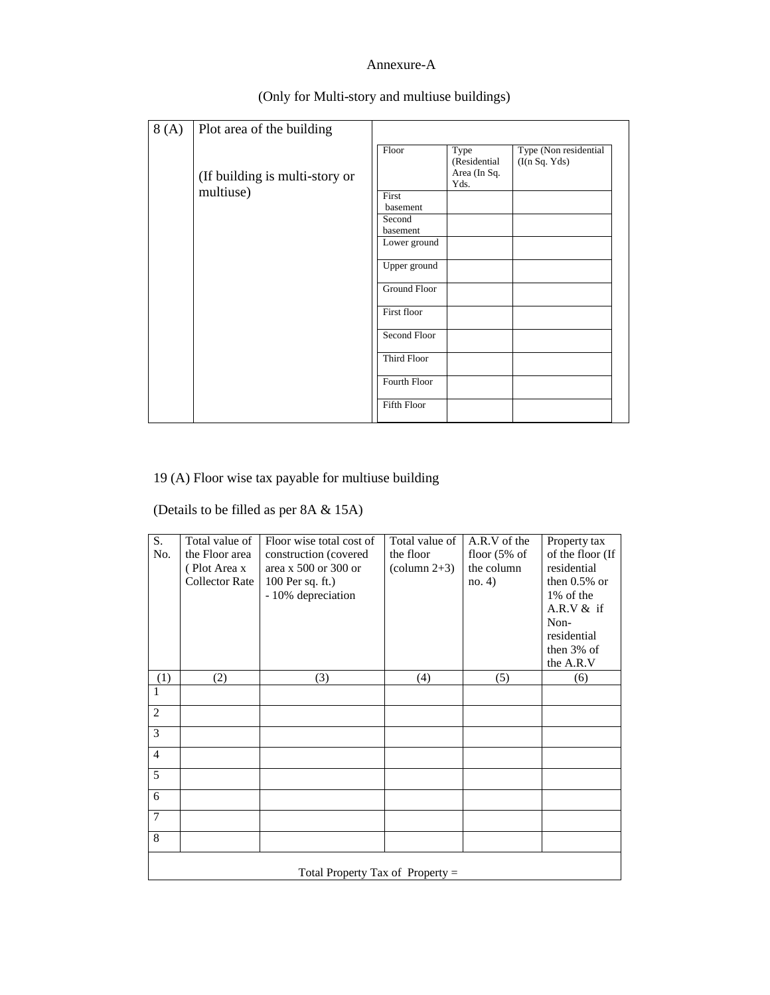#### Annexure-A

| 8(A) | Plot area of the building      |                     |                                              |                                         |
|------|--------------------------------|---------------------|----------------------------------------------|-----------------------------------------|
|      | (If building is multi-story or | Floor               | Type<br>(Residential<br>Area (In Sq.<br>Yds. | Type (Non residential<br>(I(n Sq. Yds)) |
|      | multiuse)                      | First<br>basement   |                                              |                                         |
|      |                                | Second<br>basement  |                                              |                                         |
|      |                                | Lower ground        |                                              |                                         |
|      |                                | Upper ground        |                                              |                                         |
|      |                                | <b>Ground Floor</b> |                                              |                                         |
|      |                                | First floor         |                                              |                                         |
|      |                                | Second Floor        |                                              |                                         |
|      |                                | Third Floor         |                                              |                                         |
|      |                                | Fourth Floor        |                                              |                                         |
|      |                                | Fifth Floor         |                                              |                                         |

#### (Only for Multi-story and multiuse buildings)

### 19 (A) Floor wise tax payable for multiuse building

### (Details to be filled as per 8A & 15A)

| S.             | Total value of                     | Floor wise total cost of | Total value of         | A.R.V of the   | Property tax     |
|----------------|------------------------------------|--------------------------|------------------------|----------------|------------------|
| No.            | the Floor area                     | construction (covered    | the floor              | floor $(5%$ of | of the floor (If |
|                | (Plot Area x                       | area x $500$ or $300$ or | $\text{(column } 2+3)$ | the column     | residential      |
|                | <b>Collector Rate</b>              | 100 Per sq. ft.)         |                        | no. 4)         | then $0.5\%$ or  |
|                |                                    | - 10% depreciation       |                        |                | 1% of the        |
|                |                                    |                          |                        |                | A.R.V $&$ if     |
|                |                                    |                          |                        |                | Non-             |
|                |                                    |                          |                        |                | residential      |
|                |                                    |                          |                        |                | then $3\%$ of    |
|                |                                    |                          |                        |                | the A.R.V        |
| (1)            | (2)                                | (3)                      | (4)                    | (5)            | (6)              |
| 1              |                                    |                          |                        |                |                  |
| $\overline{2}$ |                                    |                          |                        |                |                  |
| 3              |                                    |                          |                        |                |                  |
| $\overline{4}$ |                                    |                          |                        |                |                  |
| 5              |                                    |                          |                        |                |                  |
| 6              |                                    |                          |                        |                |                  |
| $\overline{7}$ |                                    |                          |                        |                |                  |
| 8              |                                    |                          |                        |                |                  |
|                | Total Property Tax of Property $=$ |                          |                        |                |                  |
|                |                                    |                          |                        |                |                  |